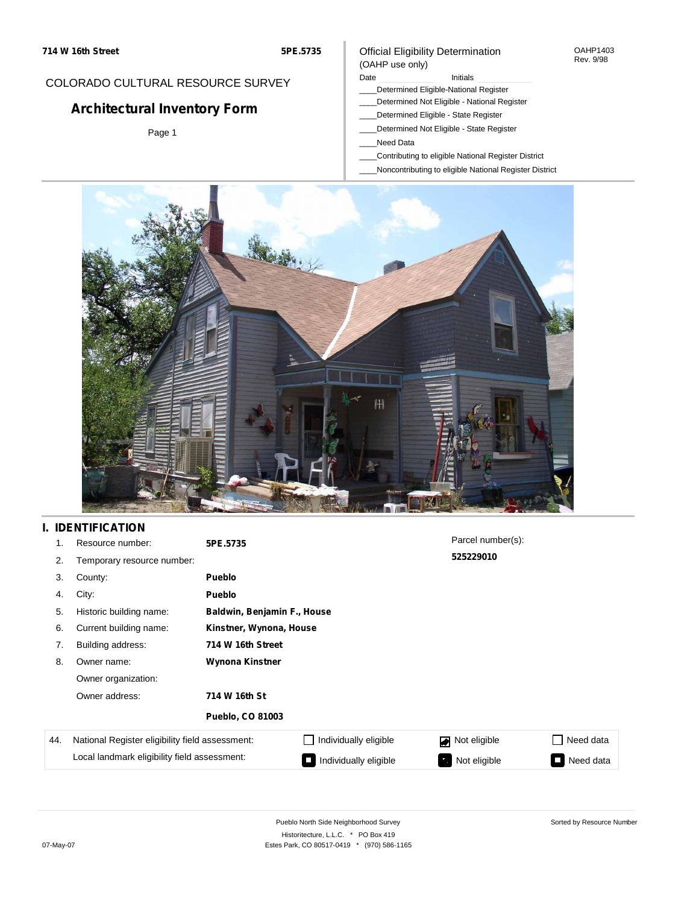#### OAHP1403 Rev. 9/98

## COLORADO CULTURAL RESOURCE SURVEY

# **Architectural Inventory Form**

Page 1

### Official Eligibility Determination (OAHP use only)

#### Date **Initials** Initials

- \_\_\_\_Determined Eligible-National Register
- \_\_\_\_Determined Not Eligible National Register
- \_\_\_\_Determined Eligible State Register
- \_\_\_\_Determined Not Eligible State Register
- \_\_\_\_Need Data
- \_\_\_\_Contributing to eligible National Register District
- \_\_\_\_Noncontributing to eligible National Register District



## **I. IDENTIFICATION**

| 1.  | Resource number:                                | 5PE.5735                    |                         | Parcel number(s): |                     |  |  |  |
|-----|-------------------------------------------------|-----------------------------|-------------------------|-------------------|---------------------|--|--|--|
| 2.  | Temporary resource number:                      |                             |                         | 525229010         |                     |  |  |  |
| 3.  | County:                                         | <b>Pueblo</b>               |                         |                   |                     |  |  |  |
| 4.  | City:                                           | <b>Pueblo</b>               |                         |                   |                     |  |  |  |
| 5.  | Historic building name:                         | Baldwin, Benjamin F., House |                         |                   |                     |  |  |  |
| 6.  | Current building name:                          |                             | Kinstner, Wynona, House |                   |                     |  |  |  |
| 7.  | Building address:                               | 714 W 16th Street           |                         |                   |                     |  |  |  |
| 8.  | Owner name:                                     | Wynona Kinstner             |                         |                   |                     |  |  |  |
|     | Owner organization:                             |                             |                         |                   |                     |  |  |  |
|     | Owner address:                                  | 714 W 16th St               |                         |                   |                     |  |  |  |
|     |                                                 | Pueblo, CO 81003            |                         |                   |                     |  |  |  |
| 44. | National Register eligibility field assessment: |                             | Individually eligible   | Not eligible      | Need data           |  |  |  |
|     | Local landmark eligibility field assessment:    |                             | Individually eligible   | Not eligible      | Need data<br>$\sim$ |  |  |  |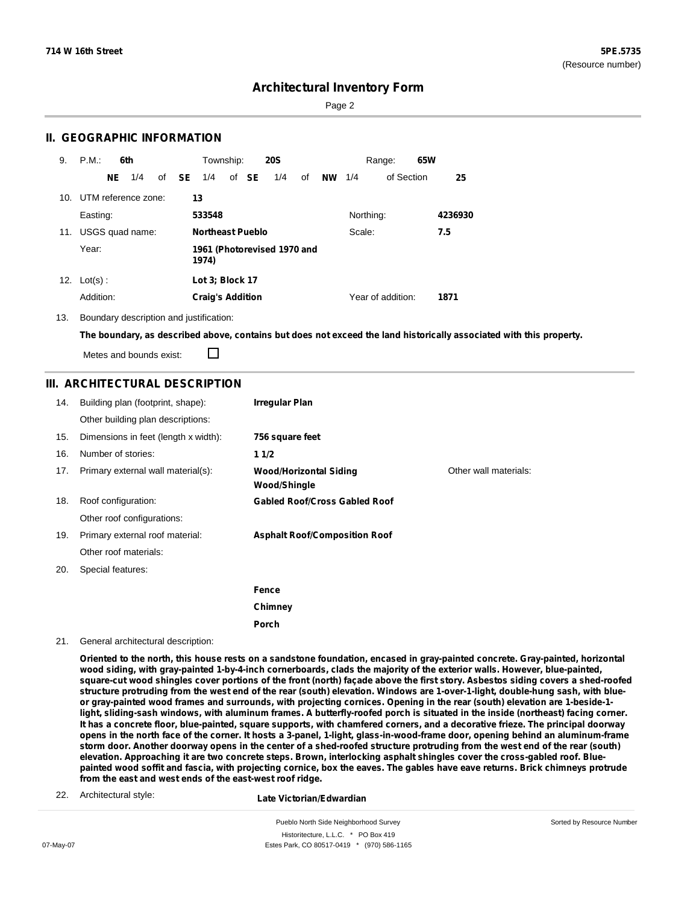Sorted by Resource Number

## **Architectural Inventory Form**

Page 2

### **II. GEOGRAPHIC INFORMATION**

| 9.  | P.M.                    |    | 6th             |              | Township:               |       | <b>20S</b>                  |    |           |           | Range:            | 65W |         |
|-----|-------------------------|----|-----------------|--------------|-------------------------|-------|-----------------------------|----|-----------|-----------|-------------------|-----|---------|
|     |                         | NE | 1/4             | of <b>SE</b> | 1/4                     | of SE | 1/4                         | of | <b>NW</b> | 1/4       | of Section        |     | 25      |
|     | 10. UTM reference zone: |    |                 |              | 13                      |       |                             |    |           |           |                   |     |         |
|     | Easting:                |    |                 |              | 533548                  |       |                             |    |           | Northing: |                   |     | 4236930 |
| 11. |                         |    | USGS quad name: |              | <b>Northeast Pueblo</b> |       |                             |    |           | Scale:    |                   |     | 7.5     |
|     | Year:                   |    |                 |              | 1974)                   |       | 1961 (Photorevised 1970 and |    |           |           |                   |     |         |
| 12. | $Lot(s)$ :              |    |                 |              | Lot 3; Block 17         |       |                             |    |           |           |                   |     |         |
|     | Addition:               |    |                 |              | <b>Craig's Addition</b> |       |                             |    |           |           | Year of addition: |     | 1871    |

13. Boundary description and justification:

The boundary, as described above, contains but does not exceed the land historically associated with this property.

Metes and bounds exist:

П

### **III. ARCHITECTURAL DESCRIPTION**

| 14. | Building plan (footprint, shape):    | <b>Irregular Plan</b>                                |                       |
|-----|--------------------------------------|------------------------------------------------------|-----------------------|
|     | Other building plan descriptions:    |                                                      |                       |
| 15. | Dimensions in feet (length x width): | 756 square feet                                      |                       |
| 16. | Number of stories:                   | 11/2                                                 |                       |
| 17. | Primary external wall material(s):   | <b>Wood/Horizontal Siding</b><br><b>Wood/Shingle</b> | Other wall materials: |
| 18. | Roof configuration:                  | <b>Gabled Roof/Cross Gabled Roof</b>                 |                       |
|     | Other roof configurations:           |                                                      |                       |
| 19. | Primary external roof material:      | <b>Asphalt Roof/Composition Roof</b>                 |                       |
|     | Other roof materials:                |                                                      |                       |
| 20. | Special features:                    |                                                      |                       |
|     |                                      | Fence                                                |                       |
|     |                                      | Chimney                                              |                       |
|     |                                      | Porch                                                |                       |

21. General architectural description:

Oriented to the north, this house rests on a sandstone foundation, encased in gray-painted concrete. Gray-painted, horizontal wood siding, with gray-painted 1-by-4-inch cornerboards, clads the majority of the exterior walls. However, blue-painted, square-cut wood shingles cover portions of the front (north) façade above the first story. Asbestos siding covers a shed-roofed structure protruding from the west end of the rear (south) elevation. Windows are 1-over-1-light, double-hung sash, with blueor gray-painted wood frames and surrounds, with projecting cornices. Opening in the rear (south) elevation are 1-beside-1light, sliding-sash windows, with aluminum frames. A butterfly-roofed porch is situated in the inside (northeast) facing corner. It has a concrete floor, blue-painted, square supports, with chamfered corners, and a decorative frieze. The principal doorway opens in the north face of the corner. It hosts a 3-panel, 1-light, glass-in-wood-frame door, opening behind an aluminum-frame storm door. Another doorway opens in the center of a shed-roofed structure protruding from the west end of the rear (south) elevation. Approaching it are two concrete steps. Brown, interlocking asphalt shingles cover the cross-gabled roof. Bluepainted wood soffit and fascia, with projecting cornice, box the eaves. The gables have eave returns. Brick chimneys protrude **from the east and west ends of the east-west roof ridge.**

22. Architectural style:

**Late Victorian/Edwardian**

Pueblo North Side Neighborhood Survey Historitecture, L.L.C. \* PO Box 419 07-May-07 **Estes Park, CO 80517-0419** \* (970) 586-1165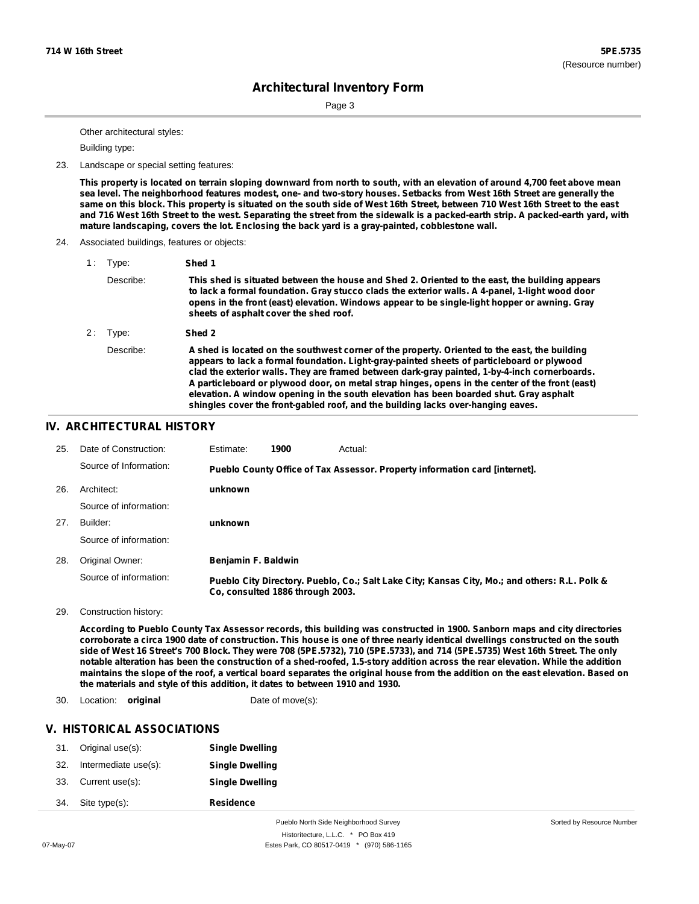Sorted by Resource Number

## **Architectural Inventory Form**

Page 3

Other architectural styles:

Building type:

#### 23. Landscape or special setting features:

This property is located on terrain sloping downward from north to south, with an elevation of around 4,700 feet above mean sea level. The neighborhood features modest, one- and two-story houses. Setbacks from West 16th Street are generally the same on this block. This property is situated on the south side of West 16th Street, between 710 West 16th Street to the east and 716 West 16th Street to the west. Separating the street from the sidewalk is a packed-earth strip. A packed-earth yard, with **mature landscaping, covers the lot. Enclosing the back yard is a gray-painted, cobblestone wall.**

24. Associated buildings, features or objects:

| 1: | Type:     | Shed 1                                                                                                                                                                                                                                                                                                                                                                                                                                                                                                                                                                        |
|----|-----------|-------------------------------------------------------------------------------------------------------------------------------------------------------------------------------------------------------------------------------------------------------------------------------------------------------------------------------------------------------------------------------------------------------------------------------------------------------------------------------------------------------------------------------------------------------------------------------|
|    | Describe: | This shed is situated between the house and Shed 2. Oriented to the east, the building appears<br>to lack a formal foundation. Gray stucco clads the exterior walls. A 4-panel, 1-light wood door<br>opens in the front (east) elevation. Windows appear to be single-light hopper or awning. Gray<br>sheets of asphalt cover the shed roof.                                                                                                                                                                                                                                  |
| 2: | Type:     | Shed 2                                                                                                                                                                                                                                                                                                                                                                                                                                                                                                                                                                        |
|    | Describe: | A shed is located on the southwest corner of the property. Oriented to the east, the building<br>appears to lack a formal foundation. Light-gray-painted sheets of particleboard or plywood<br>clad the exterior walls. They are framed between dark-gray painted, 1-by-4-inch cornerboards.<br>A particleboard or plywood door, on metal strap hinges, opens in the center of the front (east)<br>elevation. A window opening in the south elevation has been boarded shut. Gray asphalt<br>shingles cover the front-gabled roof, and the building lacks over-hanging eaves. |

### **IV. ARCHITECTURAL HISTORY**

| 25. | Date of Construction:  | Estimate:           | 1900                             | Actual:                                                                                       |
|-----|------------------------|---------------------|----------------------------------|-----------------------------------------------------------------------------------------------|
|     | Source of Information: |                     |                                  | Pueblo County Office of Tax Assessor. Property information card [internet].                   |
| 26. | Architect:             | unknown             |                                  |                                                                                               |
|     | Source of information: |                     |                                  |                                                                                               |
| 27. | Builder:               | unknown             |                                  |                                                                                               |
|     | Source of information: |                     |                                  |                                                                                               |
| 28. | Original Owner:        | Benjamin F. Baldwin |                                  |                                                                                               |
|     | Source of information: |                     | Co. consulted 1886 through 2003. | Pueblo City Directory. Pueblo, Co.; Salt Lake City; Kansas City, Mo.; and others: R.L. Polk & |

29. Construction history:

According to Pueblo County Tax Assessor records, this building was constructed in 1900. Sanborn maps and city directories corroborate a circa 1900 date of construction. This house is one of three nearly identical dwellings constructed on the south side of West 16 Street's 700 Block. They were 708 (5PE.5732), 710 (5PE.5733), and 714 (5PE.5735) West 16th Street. The only notable alteration has been the construction of a shed-roofed, 1.5-story addition across the rear elevation. While the addition maintains the slope of the roof, a vertical board separates the original house from the addition on the east elevation. Based on **the materials and style of this addition, it dates to between 1910 and 1930.**

#### 30. Location: **original** Date of move(s):

### **V. HISTORICAL ASSOCIATIONS**

| 31. | Original use(s):     | <b>Single Dwelling</b> |
|-----|----------------------|------------------------|
| 32. | Intermediate use(s): | <b>Single Dwelling</b> |
| 33. | Current use(s):      | <b>Single Dwelling</b> |
| 34. | Site type(s):        | <b>Residence</b>       |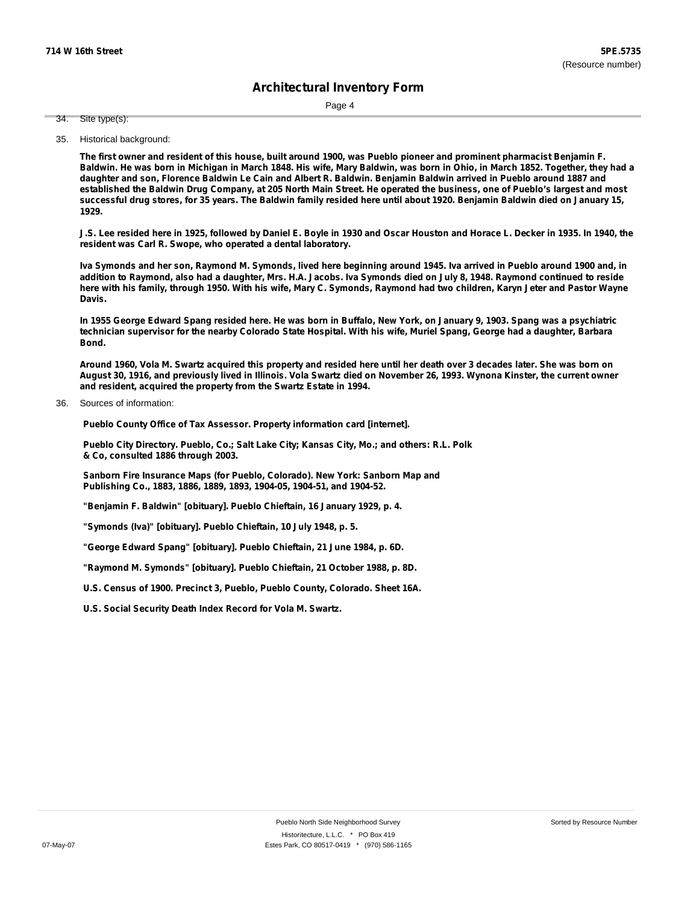Page 4

Site type(s): 34.

35. Historical background:

The first owner and resident of this house, built around 1900, was Pueblo pioneer and prominent pharmacist Benjamin F. Baldwin. He was born in Michigan in March 1848. His wife, Mary Baldwin, was born in Ohio, in March 1852. Together, they had a daughter and son. Florence Baldwin Le Cain and Albert R. Baldwin. Benjamin Baldwin arrived in Pueblo around 1887 and established the Baldwin Drug Company, at 205 North Main Street. He operated the business, one of Pueblo's largest and most successful drug stores, for 35 years. The Baldwin family resided here until about 1920. Benjamin Baldwin died on January 15, **1929.**

J.S. Lee resided here in 1925, followed by Daniel E. Boyle in 1930 and Oscar Houston and Horace L. Decker in 1935. In 1940, the **resident was Carl R. Swope, who operated a dental laboratory.**

Iva Symonds and her son, Raymond M. Symonds, lived here beginning around 1945. Iva arrived in Pueblo around 1900 and, in addition to Raymond, also had a daughter, Mrs. H.A. Jacobs. Iva Symonds died on July 8, 1948. Raymond continued to reside here with his family, through 1950. With his wife, Mary C. Symonds, Raymond had two children, Karyn Jeter and Pastor Wayne **Davis.**

In 1955 George Edward Spang resided here. He was born in Buffalo, New York, on January 9, 1903. Spang was a psychiatric technician supervisor for the nearby Colorado State Hospital. With his wife, Muriel Spang, George had a daughter, Barbara **Bond.**

Around 1960, Vola M. Swartz acquired this property and resided here until her death over 3 decades later. She was born on August 30, 1916, and previously lived in Illinois. Vola Swartz died on November 26, 1993. Wynona Kinster, the current owner **and resident, acquired the property from the Swartz Estate in 1994.**

Sources of information: 36.

**Pueblo County Office of Tax Assessor. Property information card [internet].**

**Pueblo City Directory. Pueblo, Co.; Salt Lake City; Kansas City, Mo.; and others: R.L. Polk & Co, consulted 1886 through 2003.**

**Sanborn Fire Insurance Maps (for Pueblo, Colorado). New York: Sanborn Map and Publishing Co., 1883, 1886, 1889, 1893, 1904-05, 1904-51, and 1904-52.**

**"Benjamin F. Baldwin" [obituary]. Pueblo Chieftain, 16 January 1929, p. 4.**

**"Symonds (Iva)" [obituary]. Pueblo Chieftain, 10 July 1948, p. 5.**

**"George Edward Spang" [obituary]. Pueblo Chieftain, 21 June 1984, p. 6D.**

**"Raymond M. Symonds" [obituary]. Pueblo Chieftain, 21 October 1988, p. 8D.**

**U.S. Census of 1900. Precinct 3, Pueblo, Pueblo County, Colorado. Sheet 16A.**

**U.S. Social Security Death Index Record for Vola M. Swartz.**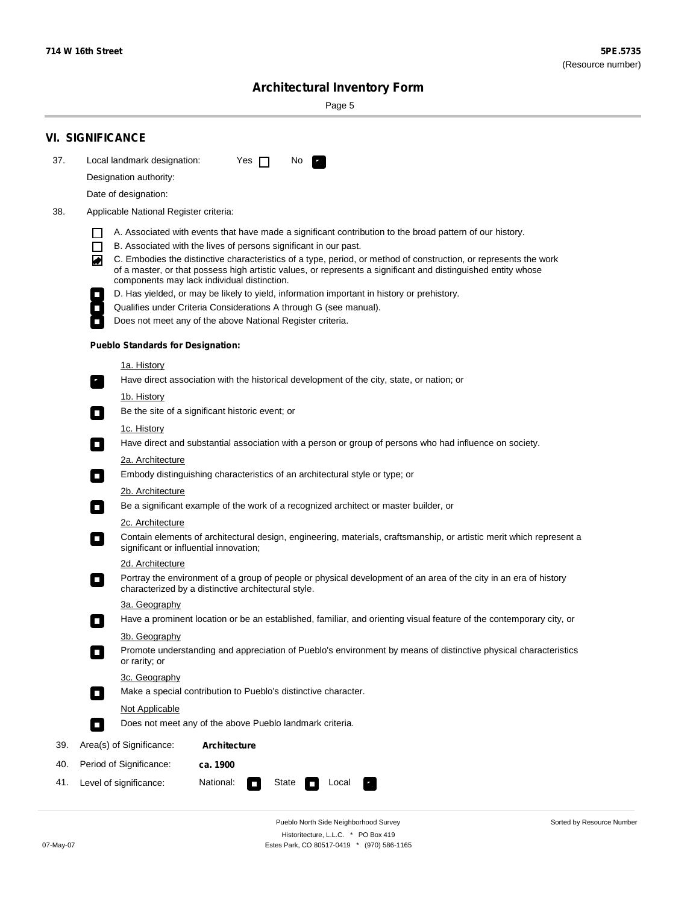÷

Sorted by Resource Number

# **Architectural Inventory Form**

Page 5

|     | <b>VI. SIGNIFICANCE</b>                                                                                                                                                                                                                                                               |  |  |  |  |  |  |  |
|-----|---------------------------------------------------------------------------------------------------------------------------------------------------------------------------------------------------------------------------------------------------------------------------------------|--|--|--|--|--|--|--|
| 37. | Local landmark designation:<br>Yes $\Box$<br>No.<br>$\mathbf{r}_\perp$                                                                                                                                                                                                                |  |  |  |  |  |  |  |
|     | Designation authority:                                                                                                                                                                                                                                                                |  |  |  |  |  |  |  |
|     | Date of designation:                                                                                                                                                                                                                                                                  |  |  |  |  |  |  |  |
| 38. | Applicable National Register criteria:                                                                                                                                                                                                                                                |  |  |  |  |  |  |  |
|     | A. Associated with events that have made a significant contribution to the broad pattern of our history.                                                                                                                                                                              |  |  |  |  |  |  |  |
|     | B. Associated with the lives of persons significant in our past.<br>$\mathsf{L}$                                                                                                                                                                                                      |  |  |  |  |  |  |  |
|     | C. Embodies the distinctive characteristics of a type, period, or method of construction, or represents the work<br>◚<br>of a master, or that possess high artistic values, or represents a significant and distinguished entity whose<br>components may lack individual distinction. |  |  |  |  |  |  |  |
|     | D. Has yielded, or may be likely to yield, information important in history or prehistory.                                                                                                                                                                                            |  |  |  |  |  |  |  |
|     | Qualifies under Criteria Considerations A through G (see manual).                                                                                                                                                                                                                     |  |  |  |  |  |  |  |
|     | Does not meet any of the above National Register criteria.                                                                                                                                                                                                                            |  |  |  |  |  |  |  |
|     | <b>Pueblo Standards for Designation:</b>                                                                                                                                                                                                                                              |  |  |  |  |  |  |  |
|     | <u>1a. History</u>                                                                                                                                                                                                                                                                    |  |  |  |  |  |  |  |
|     | Have direct association with the historical development of the city, state, or nation; or<br>$\mathbf{r}_\perp$                                                                                                                                                                       |  |  |  |  |  |  |  |
|     | <u>1b. History</u><br>Be the site of a significant historic event; or<br>$\blacksquare$                                                                                                                                                                                               |  |  |  |  |  |  |  |
|     | 1c. History                                                                                                                                                                                                                                                                           |  |  |  |  |  |  |  |
|     | Have direct and substantial association with a person or group of persons who had influence on society.<br>$\blacksquare$                                                                                                                                                             |  |  |  |  |  |  |  |
|     | 2a. Architecture                                                                                                                                                                                                                                                                      |  |  |  |  |  |  |  |
|     | Embody distinguishing characteristics of an architectural style or type; or<br>$\Box$                                                                                                                                                                                                 |  |  |  |  |  |  |  |
|     | 2b. Architecture                                                                                                                                                                                                                                                                      |  |  |  |  |  |  |  |
|     | Be a significant example of the work of a recognized architect or master builder, or<br>$\mathcal{L}_{\mathcal{A}}$                                                                                                                                                                   |  |  |  |  |  |  |  |
|     | 2c. Architecture                                                                                                                                                                                                                                                                      |  |  |  |  |  |  |  |
|     | Contain elements of architectural design, engineering, materials, craftsmanship, or artistic merit which represent a<br>$\mathcal{L}_{\mathcal{A}}$<br>significant or influential innovation;                                                                                         |  |  |  |  |  |  |  |
|     | 2d. Architecture                                                                                                                                                                                                                                                                      |  |  |  |  |  |  |  |
|     | Portray the environment of a group of people or physical development of an area of the city in an era of history<br>$\mathcal{L}_{\mathcal{A}}$<br>characterized by a distinctive architectural style.                                                                                |  |  |  |  |  |  |  |
|     | 3a. Geography                                                                                                                                                                                                                                                                         |  |  |  |  |  |  |  |
|     | Have a prominent location or be an established, familiar, and orienting visual feature of the contemporary city, or<br>П                                                                                                                                                              |  |  |  |  |  |  |  |
|     | 3b. Geography                                                                                                                                                                                                                                                                         |  |  |  |  |  |  |  |
|     | Promote understanding and appreciation of Pueblo's environment by means of distinctive physical characteristics<br>or rarity; or                                                                                                                                                      |  |  |  |  |  |  |  |
|     | 3c. Geography                                                                                                                                                                                                                                                                         |  |  |  |  |  |  |  |
|     | Make a special contribution to Pueblo's distinctive character.<br>$\overline{\phantom{a}}$                                                                                                                                                                                            |  |  |  |  |  |  |  |
|     | <b>Not Applicable</b>                                                                                                                                                                                                                                                                 |  |  |  |  |  |  |  |
|     | Does not meet any of the above Pueblo landmark criteria.<br>$\overline{\phantom{a}}$                                                                                                                                                                                                  |  |  |  |  |  |  |  |
| 39. | Area(s) of Significance:<br><b>Architecture</b>                                                                                                                                                                                                                                       |  |  |  |  |  |  |  |
| 40. | Period of Significance:<br>ca. 1900                                                                                                                                                                                                                                                   |  |  |  |  |  |  |  |
| 41. | National:<br>Level of significance:<br>State<br>Local                                                                                                                                                                                                                                 |  |  |  |  |  |  |  |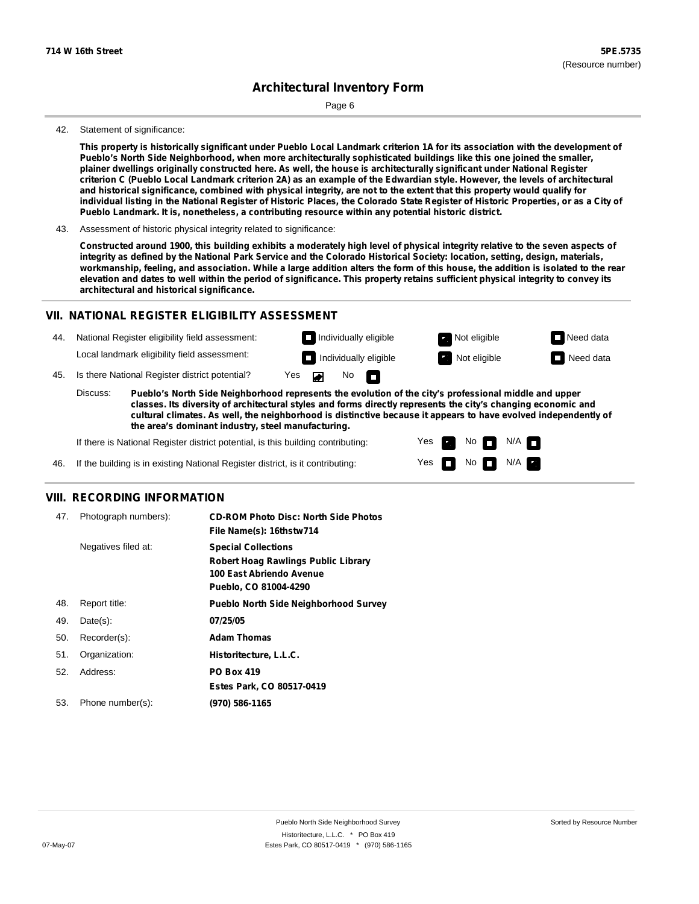Page 6

#### 42. Statement of significance:

This property is historically significant under Pueblo Local Landmark criterion 1A for its association with the development of **Pueblo's North Side Neighborhood, when more architecturally sophisticated buildings like this one joined the smaller,** plainer dwellings originally constructed here. As well, the house is architecturally significant under National Register criterion C (Pueblo Local Landmark criterion 2A) as an example of the Edwardian style. However, the levels of architectural and historical significance, combined with physical integrity, are not to the extent that this property would qualify for individual listing in the National Register of Historic Places, the Colorado State Register of Historic Properties, or as a City of **Pueblo Landmark. It is, nonetheless, a contributing resource within any potential historic district.**

43. Assessment of historic physical integrity related to significance:

Constructed around 1900, this building exhibits a moderately high level of physical integrity relative to the seven aspects of integrity as defined by the National Park Service and the Colorado Historical Society: location, setting, design, materials, workmanship, feeling, and association. While a large addition alters the form of this house, the addition is isolated to the rear elevation and dates to well within the period of significance. This property retains sufficient physical integrity to convey its **architectural and historical significance.**

### **VII. NATIONAL REGISTER ELIGIBILITY ASSESSMENT**

44. National Register eligibility field assessment: Local landmark eligibility field assessment:

**Individually eligible Not eligible** Not eligible **Need data Individually eligible Not eligible Not eligible Need data** 

No<sub>D</sub>

45. Is there National Register district potential? Yes

**Pueblo's North Side Neighborhood represents the evolution of the city's professional middle and upper classes. Its diversity of architectural styles and forms directly represents the city's changing economic and cultural climates. As well, the neighborhood is distinctive because it appears to have evolved independently of the area's dominant industry, steel manufacturing.** Discuss:

 $\blacksquare$ 

Yes Yes No

 $No$  N/A

 $N/A$   $\Box$ 

If there is National Register district potential, is this building contributing:



### **VIII. RECORDING INFORMATION**

| 47. | Photograph numbers): | <b>CD-ROM Photo Disc: North Side Photos</b><br>File Name(s): 16thstw714                                                       |
|-----|----------------------|-------------------------------------------------------------------------------------------------------------------------------|
|     | Negatives filed at:  | <b>Special Collections</b><br><b>Robert Hoag Rawlings Public Library</b><br>100 East Abriendo Avenue<br>Pueblo, CO 81004-4290 |
| 48. | Report title:        | <b>Pueblo North Side Neighborhood Survey</b>                                                                                  |
| 49. | $Date(s)$ :          | 07/25/05                                                                                                                      |
| 50. | Recorder(s):         | <b>Adam Thomas</b>                                                                                                            |
| 51. | Organization:        | Historitecture, L.L.C.                                                                                                        |
| 52. | Address:             | <b>PO Box 419</b>                                                                                                             |
|     |                      | Estes Park, CO 80517-0419                                                                                                     |
| 53. | Phone number(s):     | (970) 586-1165                                                                                                                |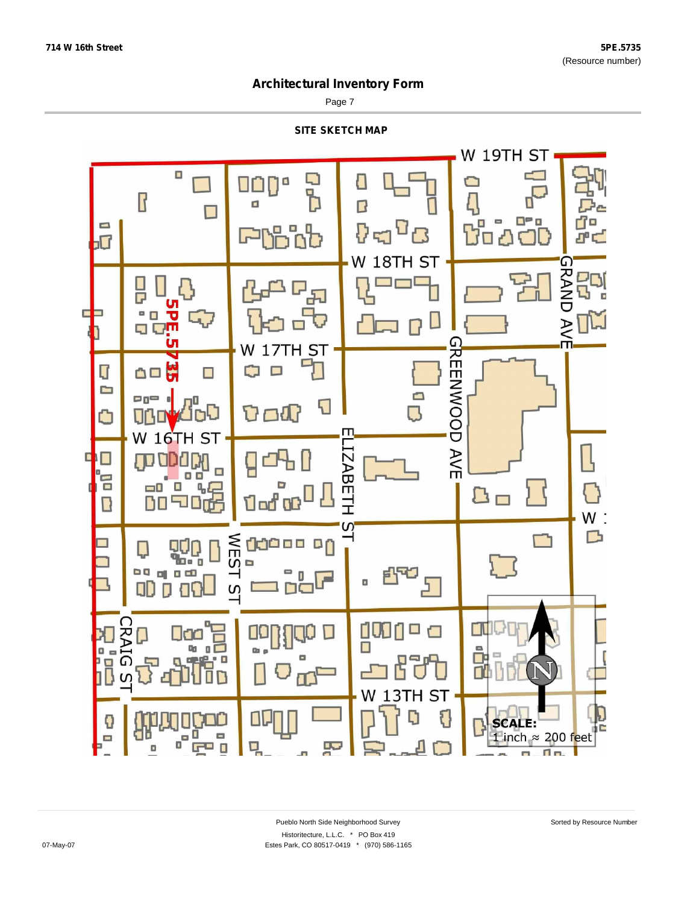Page 7